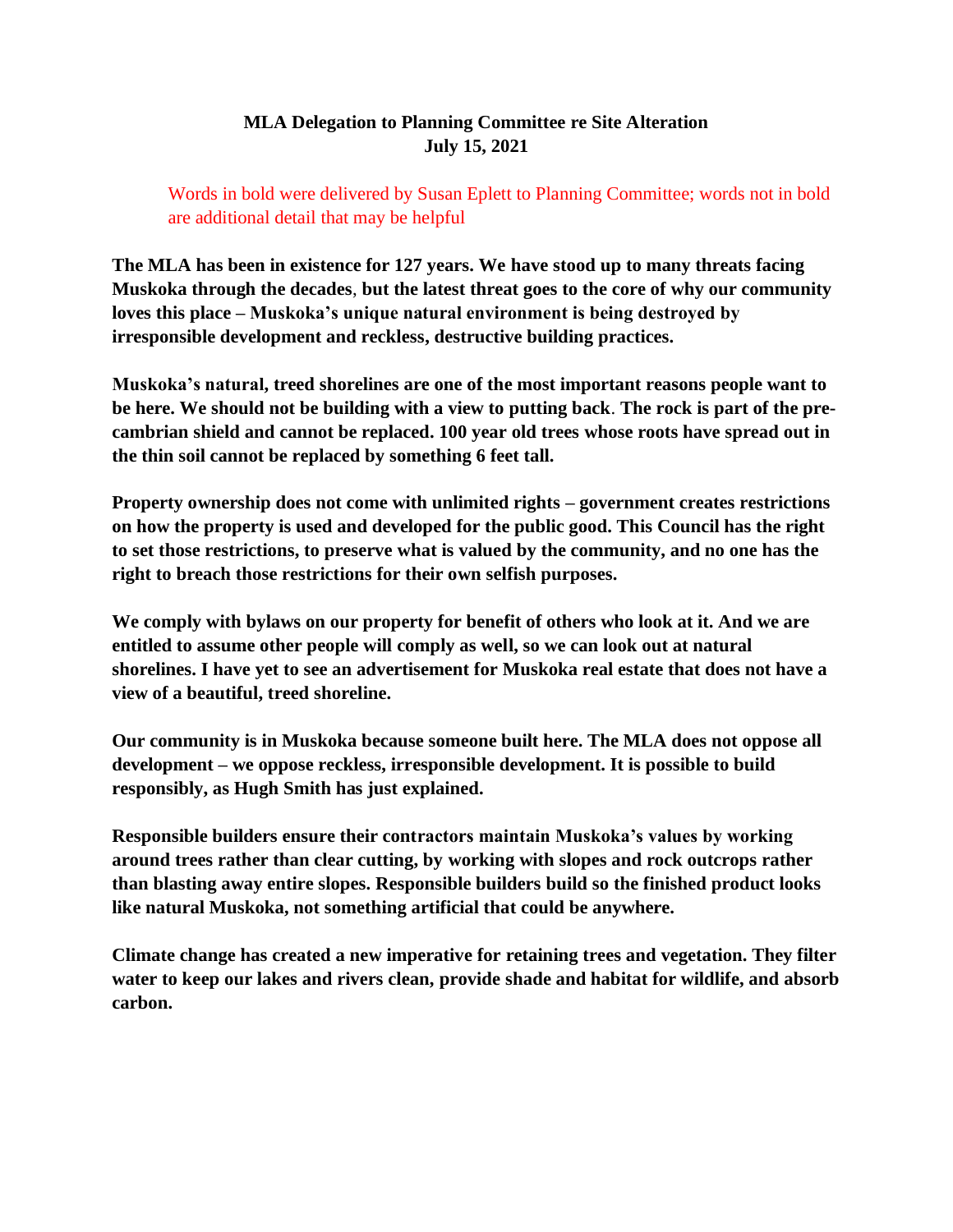## **MLA Delegation to Planning Committee re Site Alteration July 15, 2021**

Words in bold were delivered by Susan Eplett to Planning Committee; words not in bold are additional detail that may be helpful

**The MLA has been in existence for 127 years. We have stood up to many threats facing Muskoka through the decades**, **but the latest threat goes to the core of why our community loves this place – Muskoka's unique natural environment is being destroyed by irresponsible development and reckless, destructive building practices.**

**Muskoka's natural, treed shorelines are one of the most important reasons people want to be here. We should not be building with a view to putting back**. **The rock is part of the precambrian shield and cannot be replaced. 100 year old trees whose roots have spread out in the thin soil cannot be replaced by something 6 feet tall.**

**Property ownership does not come with unlimited rights – government creates restrictions on how the property is used and developed for the public good. This Council has the right to set those restrictions, to preserve what is valued by the community, and no one has the right to breach those restrictions for their own selfish purposes.**

**We comply with bylaws on our property for benefit of others who look at it. And we are entitled to assume other people will comply as well, so we can look out at natural shorelines. I have yet to see an advertisement for Muskoka real estate that does not have a view of a beautiful, treed shoreline.**

**Our community is in Muskoka because someone built here. The MLA does not oppose all development – we oppose reckless, irresponsible development. It is possible to build responsibly, as Hugh Smith has just explained.** 

**Responsible builders ensure their contractors maintain Muskoka's values by working around trees rather than clear cutting, by working with slopes and rock outcrops rather than blasting away entire slopes. Responsible builders build so the finished product looks like natural Muskoka, not something artificial that could be anywhere.**

**Climate change has created a new imperative for retaining trees and vegetation. They filter water to keep our lakes and rivers clean, provide shade and habitat for wildlife, and absorb carbon.**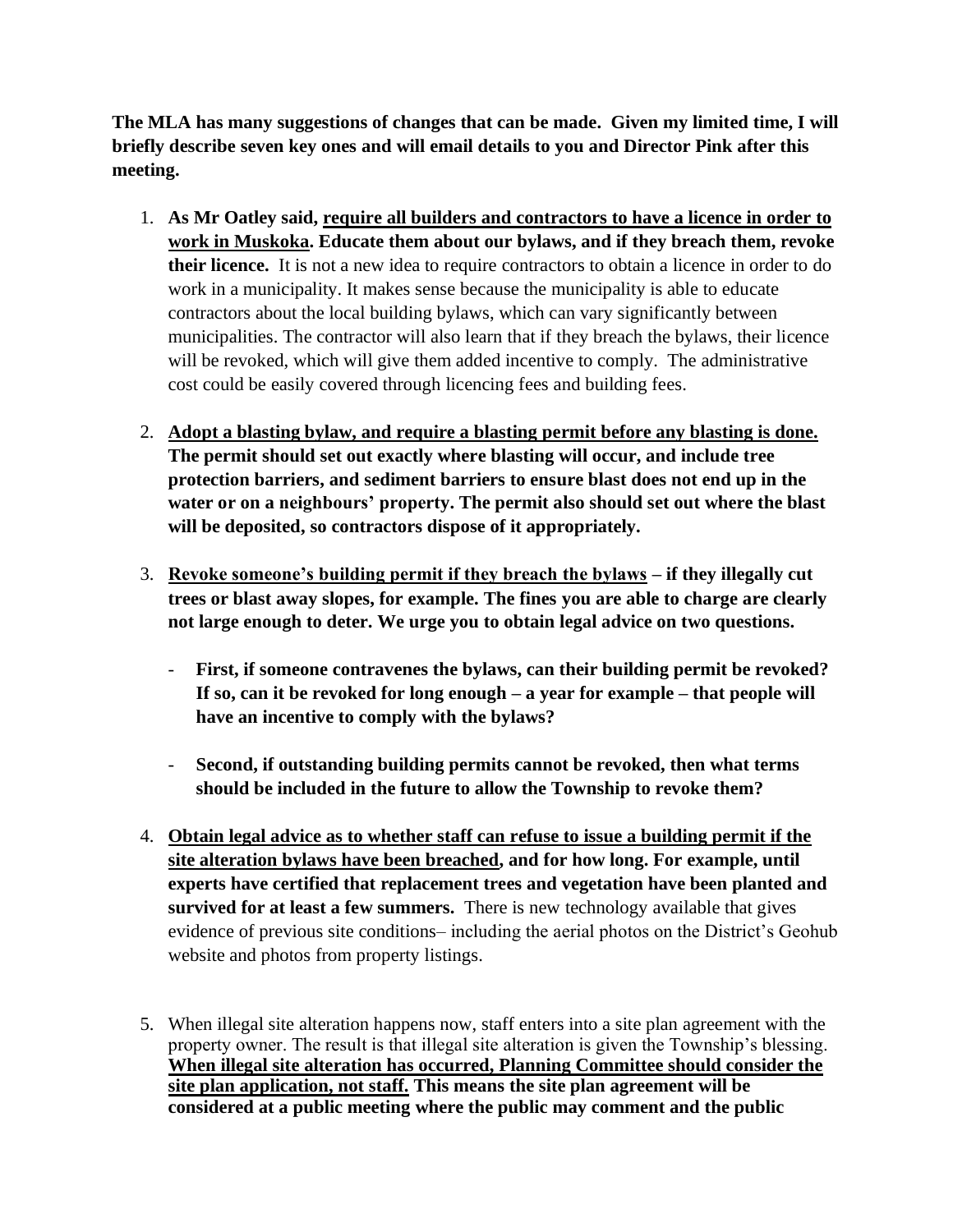**The MLA has many suggestions of changes that can be made. Given my limited time, I will briefly describe seven key ones and will email details to you and Director Pink after this meeting.**

- 1. **As Mr Oatley said, require all builders and contractors to have a licence in order to work in Muskoka. Educate them about our bylaws, and if they breach them, revoke their licence.** It is not a new idea to require contractors to obtain a licence in order to do work in a municipality. It makes sense because the municipality is able to educate contractors about the local building bylaws, which can vary significantly between municipalities. The contractor will also learn that if they breach the bylaws, their licence will be revoked, which will give them added incentive to comply. The administrative cost could be easily covered through licencing fees and building fees.
- 2. **Adopt a blasting bylaw, and require a blasting permit before any blasting is done. The permit should set out exactly where blasting will occur, and include tree protection barriers, and sediment barriers to ensure blast does not end up in the water or on a neighbours' property. The permit also should set out where the blast will be deposited, so contractors dispose of it appropriately.**
- 3. **Revoke someone's building permit if they breach the bylaws – if they illegally cut trees or blast away slopes, for example. The fines you are able to charge are clearly not large enough to deter. We urge you to obtain legal advice on two questions.**
	- **First, if someone contravenes the bylaws, can their building permit be revoked? If so, can it be revoked for long enough – a year for example – that people will have an incentive to comply with the bylaws?**
	- **Second, if outstanding building permits cannot be revoked, then what terms should be included in the future to allow the Township to revoke them?**
- 4. **Obtain legal advice as to whether staff can refuse to issue a building permit if the site alteration bylaws have been breached, and for how long. For example, until experts have certified that replacement trees and vegetation have been planted and survived for at least a few summers.** There is new technology available that gives evidence of previous site conditions– including the aerial photos on the District's Geohub website and photos from property listings.
- 5. When illegal site alteration happens now, staff enters into a site plan agreement with the property owner. The result is that illegal site alteration is given the Township's blessing. **When illegal site alteration has occurred, Planning Committee should consider the site plan application, not staff. This means the site plan agreement will be considered at a public meeting where the public may comment and the public**